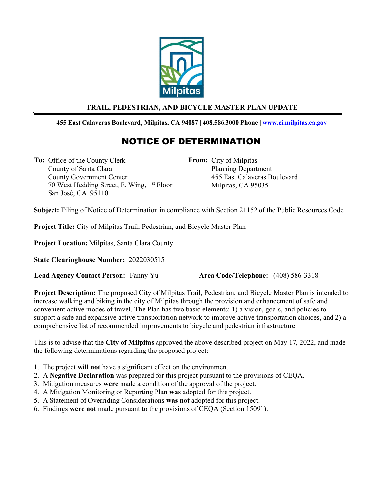

## TRAIL, PEDESTRIAN, AND BICYCLE MASTER PLAN UPDATE

## 455 East Calaveras Boulevard, Milpitas, CA 94087 | 408.586.3000 Phone | www.ci.milpitas.ca.gov

## NOTICE OF DETERMINATION

To: Office of the County Clerk County of Santa Clara County Government Center 70 West Hedding Street, E. Wing, 1<sup>st</sup> Floor San José, CA 95110

From: City of Milpitas Planning Department 455 East Calaveras Boulevard Milpitas, CA 95035

Subject: Filing of Notice of Determination in compliance with Section 21152 of the Public Resources Code

Project Title: City of Milpitas Trail, Pedestrian, and Bicycle Master Plan

Project Location: Milpitas, Santa Clara County

State Clearinghouse Number: 2022030515

Lead Agency Contact Person: Fanny Yu Area Code/Telephone: (408) 586-3318

Project Description: The proposed City of Milpitas Trail, Pedestrian, and Bicycle Master Plan is intended to increase walking and biking in the city of Milpitas through the provision and enhancement of safe and convenient active modes of travel. The Plan has two basic elements: 1) a vision, goals, and policies to support a safe and expansive active transportation network to improve active transportation choices, and 2) a comprehensive list of recommended improvements to bicycle and pedestrian infrastructure.

This is to advise that the City of Milpitas approved the above described project on May 17, 2022, and made the following determinations regarding the proposed project:

- 1. The project will not have a significant effect on the environment.
- 2. A Negative Declaration was prepared for this project pursuant to the provisions of CEQA.
- 3. Mitigation measures were made a condition of the approval of the project.
- 4. A Mitigation Monitoring or Reporting Plan was adopted for this project.
- 5. A Statement of Overriding Considerations was not adopted for this project.
- 6. Findings were not made pursuant to the provisions of CEQA (Section 15091).